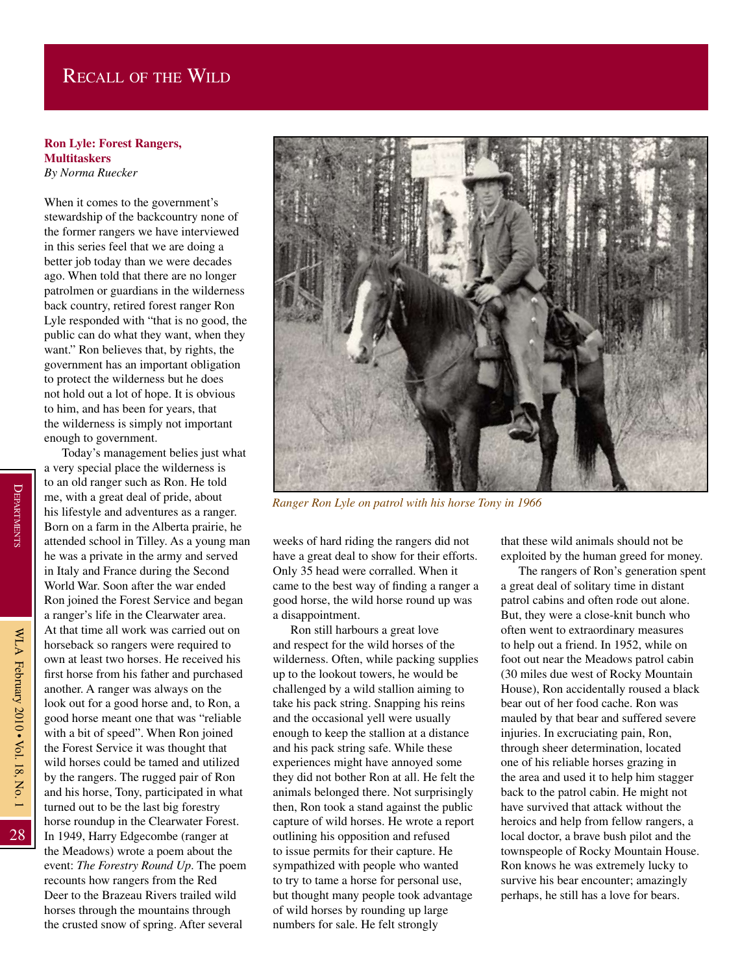## Recall of the Wild

## **Ron Lyle: Forest Rangers, Multitaskers**

*By Norma Ruecker*

When it comes to the government's stewardship of the backcountry none of the former rangers we have interviewed in this series feel that we are doing a better job today than we were decades ago. When told that there are no longer patrolmen or guardians in the wilderness back country, retired forest ranger Ron Lyle responded with "that is no good, the public can do what they want, when they want." Ron believes that, by rights, the government has an important obligation to protect the wilderness but he does not hold out a lot of hope. It is obvious to him, and has been for years, that the wilderness is simply not important enough to government.

Today's management belies just what a very special place the wilderness is to an old ranger such as Ron. He told me, with a great deal of pride, about his lifestyle and adventures as a ranger. Born on a farm in the Alberta prairie, he attended school in Tilley. As a young man he was a private in the army and served in Italy and France during the Second World War. Soon after the war ended Ron joined the Forest Service and began a ranger's life in the Clearwater area. At that time all work was carried out on horseback so rangers were required to own at least two horses. He received his first horse from his father and purchased another. A ranger was always on the look out for a good horse and, to Ron, a good horse meant one that was "reliable with a bit of speed". When Ron joined the Forest Service it was thought that wild horses could be tamed and utilized by the rangers. The rugged pair of Ron and his horse, Tony, participated in what turned out to be the last big forestry horse roundup in the Clearwater Forest. In 1949, Harry Edgecombe (ranger at the Meadows) wrote a poem about the event: *The Forestry Round Up*. The poem recounts how rangers from the Red Deer to the Brazeau Rivers trailed wild horses through the mountains through the crusted snow of spring. After several



*Ranger Ron Lyle on patrol with his horse Tony in 1966*

weeks of hard riding the rangers did not have a great deal to show for their efforts. Only 35 head were corralled. When it came to the best way of finding a ranger a good horse, the wild horse round up was a disappointment.

Ron still harbours a great love and respect for the wild horses of the wilderness. Often, while packing supplies up to the lookout towers, he would be challenged by a wild stallion aiming to take his pack string. Snapping his reins and the occasional yell were usually enough to keep the stallion at a distance and his pack string safe. While these experiences might have annoyed some they did not bother Ron at all. He felt the animals belonged there. Not surprisingly then, Ron took a stand against the public capture of wild horses. He wrote a report outlining his opposition and refused to issue permits for their capture. He sympathized with people who wanted to try to tame a horse for personal use, but thought many people took advantage of wild horses by rounding up large numbers for sale. He felt strongly

that these wild animals should not be exploited by the human greed for money.

The rangers of Ron's generation spent a great deal of solitary time in distant patrol cabins and often rode out alone. But, they were a close-knit bunch who often went to extraordinary measures to help out a friend. In 1952, while on foot out near the Meadows patrol cabin (30 miles due west of Rocky Mountain House), Ron accidentally roused a black bear out of her food cache. Ron was mauled by that bear and suffered severe injuries. In excruciating pain, Ron, through sheer determination, located one of his reliable horses grazing in the area and used it to help him stagger back to the patrol cabin. He might not have survived that attack without the heroics and help from fellow rangers, a local doctor, a brave bush pilot and the townspeople of Rocky Mountain House. Ron knows he was extremely lucky to survive his bear encounter; amazingly perhaps, he still has a love for bears.

28